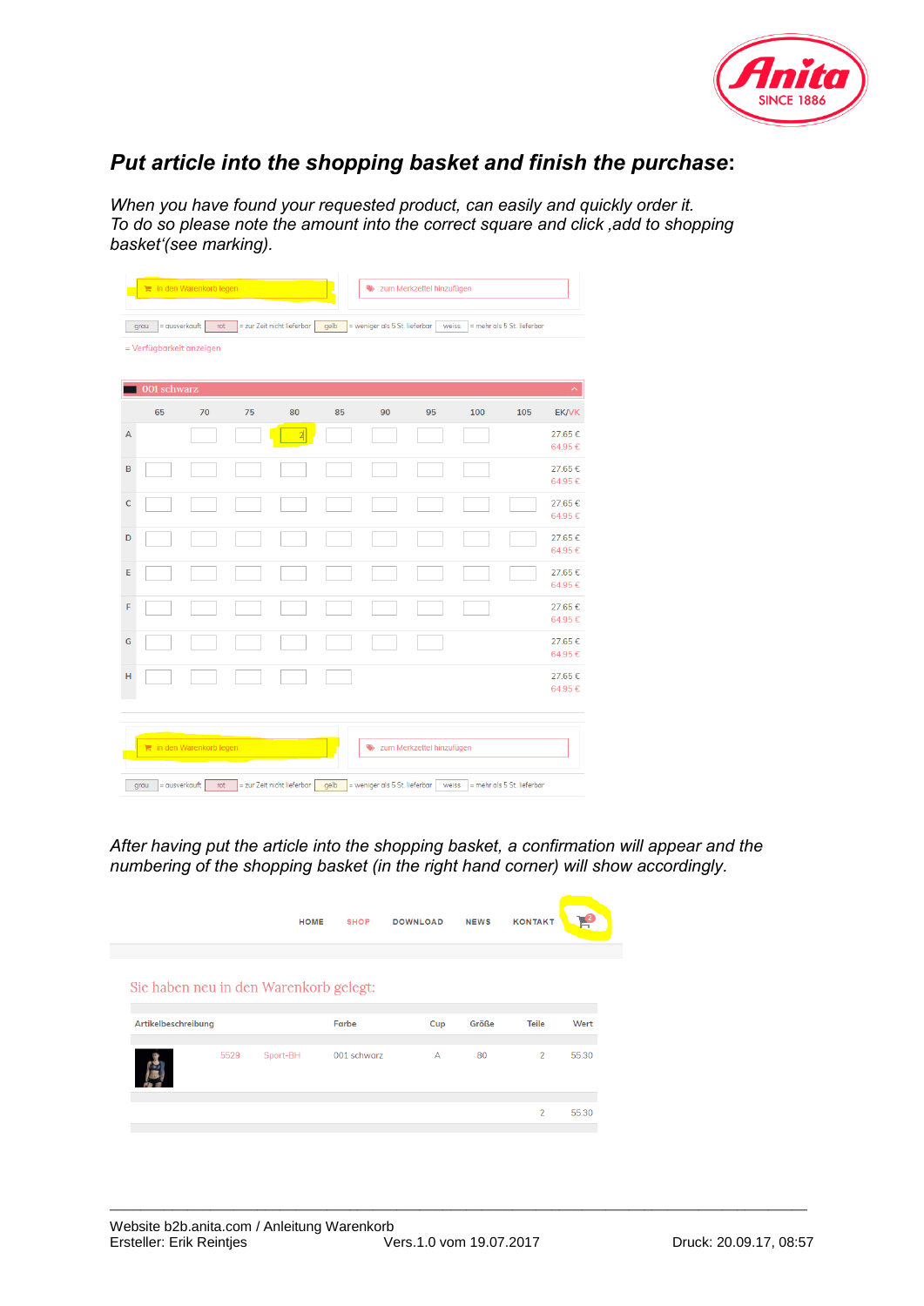

## *Put article into the shopping basket and finish the purchase***:**

*When you have found your requested product, can easily and quickly order it. To do so please note the amount into the correct square and click 'add to shopping basket'(see marking).* 

|                                                     |                       | in den Warenkorb legen |    |                            |      |                               | zum Merkzettel hinzufügen |     |                            |                  |
|-----------------------------------------------------|-----------------------|------------------------|----|----------------------------|------|-------------------------------|---------------------------|-----|----------------------------|------------------|
|                                                     | = ausverkauft<br>grau | rot                    |    | = zur Zeit nicht lieferbar | gelb | = weniger als 5 St. lieferbar | weiss                     |     | = mehr als 5 St. lieferbar |                  |
| = Verfügbarkeit anzeigen                            |                       |                        |    |                            |      |                               |                           |     |                            |                  |
|                                                     | 001 schwarz           |                        |    |                            |      |                               |                           |     |                            | ㅅ                |
|                                                     | 65                    | 70                     | 75 | 80                         | 85   | 90                            | 95                        | 100 | 105                        | <b>EK/VK</b>     |
| A                                                   |                       |                        |    | $\overline{\mathbf{a}}$    |      |                               |                           |     |                            | 27.65€<br>64.95€ |
| B                                                   |                       |                        |    |                            |      |                               |                           |     |                            | 27.65€<br>64.95€ |
| $\mathsf C$                                         |                       |                        |    |                            |      |                               |                           |     |                            | 27.65€<br>64.95€ |
| D                                                   |                       |                        |    |                            |      |                               |                           |     |                            | 27.65€<br>64.95€ |
| E                                                   |                       |                        |    |                            |      |                               |                           |     |                            | 27.65€<br>64.95€ |
| F                                                   |                       |                        |    |                            |      |                               |                           |     |                            | 27.65€<br>64.95€ |
| G                                                   |                       |                        |    |                            |      |                               |                           |     |                            | 27.65€<br>64.95€ |
| н                                                   |                       |                        |    |                            |      |                               |                           |     |                            | 27.65€<br>64.95€ |
| in den Warenkorb legen<br>zum Merkzettel hinzufügen |                       |                        |    |                            |      |                               |                           |     |                            |                  |
|                                                     | = ausverkauft<br>grau | rot                    |    | = zur Zeit nicht lieferbar | gelb | = weniger als 5 St. lieferbar | weiss                     |     | = mehr als 5 St. lieferbar |                  |

*After having put the article into the shopping basket, a confirmation will appear and the numbering of the shopping basket (in the right hand corner) will show accordingly.* 

\_\_\_\_\_\_\_\_\_\_\_\_\_\_\_\_\_\_\_\_\_\_\_\_\_\_\_\_\_\_\_\_\_\_\_\_\_\_\_\_\_\_\_\_\_\_\_\_\_\_\_\_\_\_\_\_\_\_\_\_\_\_\_\_\_\_\_\_\_\_\_\_\_\_\_\_\_\_\_\_\_\_\_\_\_\_\_\_\_\_

|                     |      | <b>HOME</b>                            | <b>SHOP</b> | <b>DOWNLOAD</b> | <b>NEWS</b> | <b>KONTAKT</b> |       |
|---------------------|------|----------------------------------------|-------------|-----------------|-------------|----------------|-------|
|                     |      | Sie haben neu in den Warenkorb gelegt: |             |                 |             |                |       |
| Artikelbeschreibung |      |                                        | Farbe       | Cup             | Größe       | <b>Teile</b>   | Wert  |
|                     |      |                                        |             |                 |             |                |       |
|                     | 5529 | Sport-BH                               | 001 schwarz | $\overline{A}$  | 80          | $\overline{2}$ | 55.30 |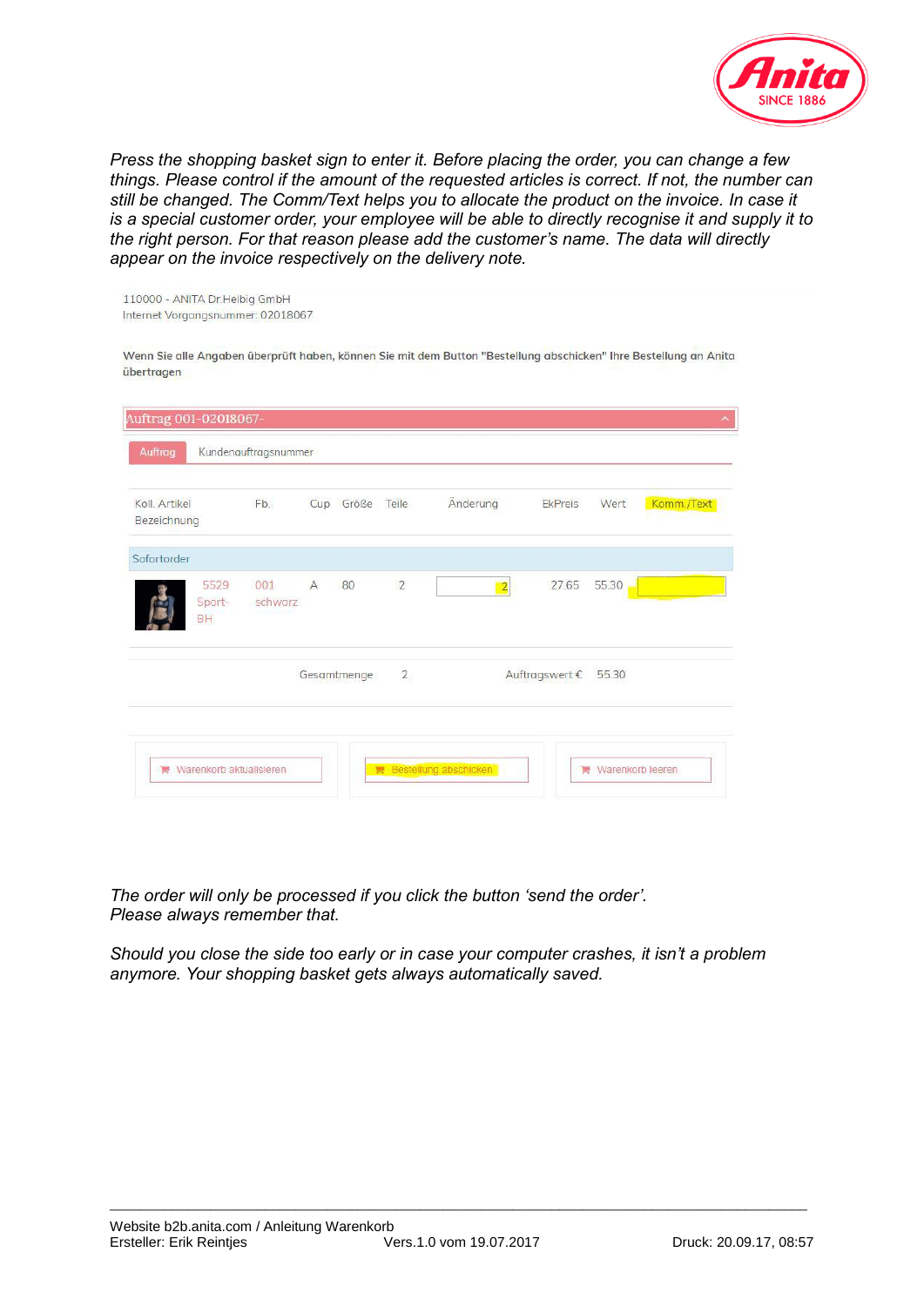

*Press the shopping basket sign to enter it. Before placing the order, you can change a few things. Please control if the amount of the requested articles is correct. If not, the number can still be changed. The Comm/Text helps you to allocate the product on the invoice. In case it is a special customer order, your employee will be able to directly recognise it and supply it to the right person. For that reason please add the customer's name. The data will directly appear on the invoice respectively on the delivery note.* 

110000 - ANITA Dr.Helbig GmbH Internet Vorgangsnummer: 02018067

Wenn Sie alle Angaben überprüft haben, können Sie mit dem Button "Bestellung abschicken" Ihre Bestellung an Anita übertragen

| Koll, Artikel<br>Bezeichnung | Fb.            |                | Cup Größe Teile |                | Änderung       | EkPreis              | Wert  | Komm./Text |
|------------------------------|----------------|----------------|-----------------|----------------|----------------|----------------------|-------|------------|
| Sofortorder                  |                |                |                 |                |                |                      |       |            |
| 5529<br>Sport-<br>BH         | 001<br>schwarz | $\overline{A}$ | 80              | $\overline{2}$ | $\overline{c}$ | 27.65                | 55.30 |            |
|                              |                |                | Gesamtmenge     | $\overline{2}$ |                | Auftragswert € 55.30 |       |            |

*The order will only be processed if you click the button 'send the order'. Please always remember that.* 

*Should you close the side too early or in case your computer crashes, it isn't a problem anymore. Your shopping basket gets always automatically saved.* 

\_\_\_\_\_\_\_\_\_\_\_\_\_\_\_\_\_\_\_\_\_\_\_\_\_\_\_\_\_\_\_\_\_\_\_\_\_\_\_\_\_\_\_\_\_\_\_\_\_\_\_\_\_\_\_\_\_\_\_\_\_\_\_\_\_\_\_\_\_\_\_\_\_\_\_\_\_\_\_\_\_\_\_\_\_\_\_\_\_\_